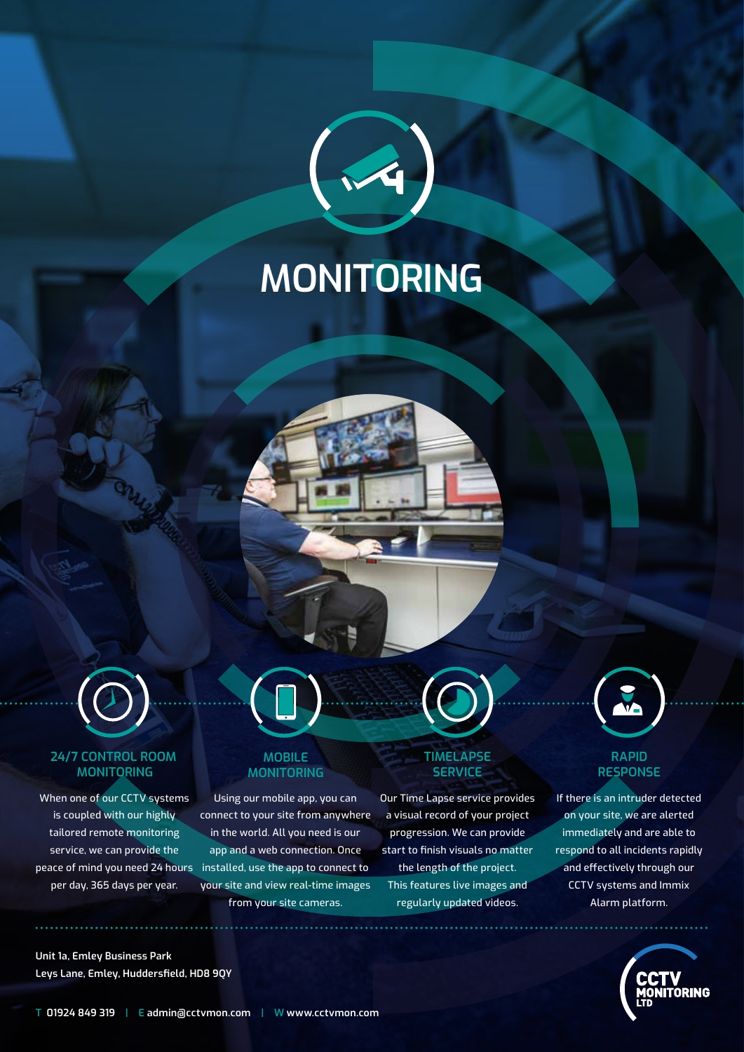# **MONITORING**



#### **24/7 CONTROL ROOM MONITORING**

When one of our CCTV systems is coupled with our highly tailored remote monitoring service, we can provide the per day, 365 days per year.

#### **MOBILE MONITORING**

peace of mind you need 24 hours installed, use the app to connect to Using our mobile app, you can connect to your site from anywhere in the world. All you need is our app and a web connection. Once your site and view real-time images from your site cameras.

#### **TIMELAPSE SERVICE**

Our Time Lapse service provides a visual record of your project progression. We can provide start to finish visuals no matter the length of the project. This features live images and regularly updated videos.



#### **RAPID RESPONSE**

If there is an intruder detected on your site, we are alerted immediately and are able to respond to all incidents rapidly and effectively through our CCTV systems and Immix Alarm platform.



**Unit 1a, Emley Business Park Leys Lane, Emley, Huddersfield, HD8 9QY**